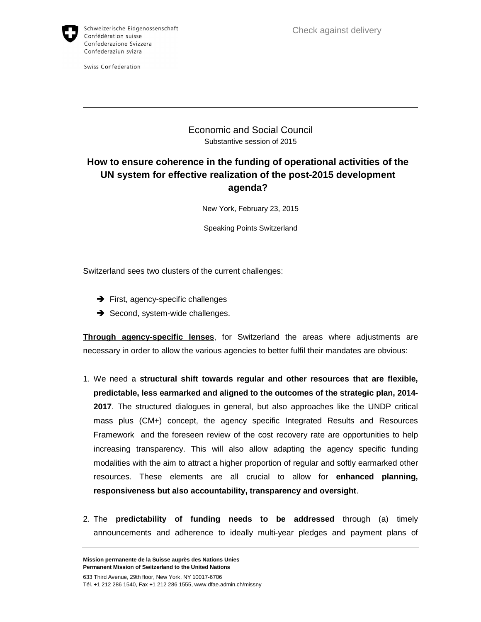

Swiss Confederation

Check against delivery

## Economic and Social Council Substantive session of 2015

# **How to ensure coherence in the funding of operational activities of the UN system for effective realization of the post-2015 development agenda?**

New York, February 23, 2015

Speaking Points Switzerland

Switzerland sees two clusters of the current challenges:

- $\rightarrow$  First, agency-specific challenges
- $\rightarrow$  Second, system-wide challenges.

**Through agency-specific lenses**, for Switzerland the areas where adjustments are necessary in order to allow the various agencies to better fulfil their mandates are obvious:

- 1. We need a **structural shift towards regular and other resources that are flexible, predictable, less earmarked and aligned to the outcomes of the strategic plan, 2014- 2017**. The structured dialogues in general, but also approaches like the UNDP critical mass plus (CM+) concept, the agency specific Integrated Results and Resources Framework and the foreseen review of the cost recovery rate are opportunities to help increasing transparency. This will also allow adapting the agency specific funding modalities with the aim to attract a higher proportion of regular and softly earmarked other resources. These elements are all crucial to allow for **enhanced planning, responsiveness but also accountability, transparency and oversight**.
- 2. The **predictability of funding needs to be addressed** through (a) timely announcements and adherence to ideally multi-year pledges and payment plans of

**Mission permanente de la Suisse auprès des Nations Unies Permanent Mission of Switzerland to the United Nations** 

633 Third Avenue, 29th floor, New York, NY 10017-6706 Tél. +1 212 286 1540, Fax +1 212 286 1555, www.dfae.admin.ch/missny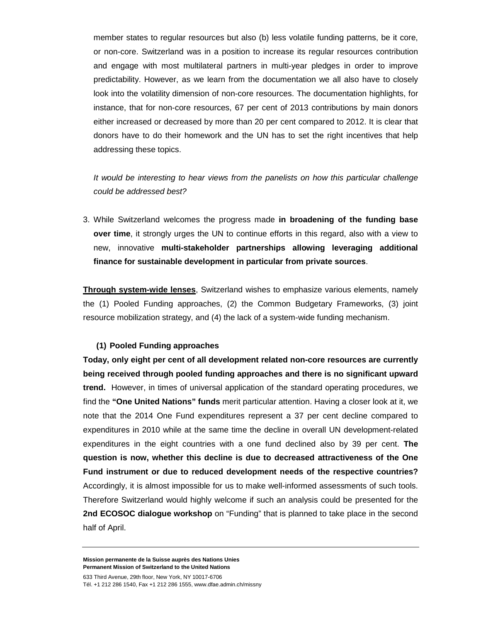member states to regular resources but also (b) less volatile funding patterns, be it core, or non-core. Switzerland was in a position to increase its regular resources contribution and engage with most multilateral partners in multi-year pledges in order to improve predictability. However, as we learn from the documentation we all also have to closely look into the volatility dimension of non-core resources. The documentation highlights, for instance, that for non-core resources, 67 per cent of 2013 contributions by main donors either increased or decreased by more than 20 per cent compared to 2012. It is clear that donors have to do their homework and the UN has to set the right incentives that help addressing these topics.

It would be interesting to hear views from the panelists on how this particular challenge could be addressed best?

3. While Switzerland welcomes the progress made **in broadening of the funding base over time**, it strongly urges the UN to continue efforts in this regard, also with a view to new, innovative **multi-stakeholder partnerships allowing leveraging additional finance for sustainable development in particular from private sources**.

**Through system-wide lenses**, Switzerland wishes to emphasize various elements, namely the (1) Pooled Funding approaches, (2) the Common Budgetary Frameworks, (3) joint resource mobilization strategy, and (4) the lack of a system-wide funding mechanism.

### **(1) Pooled Funding approaches**

**Today, only eight per cent of all development related non-core resources are currently being received through pooled funding approaches and there is no significant upward trend.** However, in times of universal application of the standard operating procedures, we find the **"One United Nations" funds** merit particular attention. Having a closer look at it, we note that the 2014 One Fund expenditures represent a 37 per cent decline compared to expenditures in 2010 while at the same time the decline in overall UN development-related expenditures in the eight countries with a one fund declined also by 39 per cent. **The question is now, whether this decline is due to decreased attractiveness of the One Fund instrument or due to reduced development needs of the respective countries?** Accordingly, it is almost impossible for us to make well-informed assessments of such tools. Therefore Switzerland would highly welcome if such an analysis could be presented for the **2nd ECOSOC dialogue workshop** on "Funding" that is planned to take place in the second half of April.

**Mission permanente de la Suisse auprès des Nations Unies Permanent Mission of Switzerland to the United Nations** 

633 Third Avenue, 29th floor, New York, NY 10017-6706 Tél. +1 212 286 1540, Fax +1 212 286 1555, www.dfae.admin.ch/missny